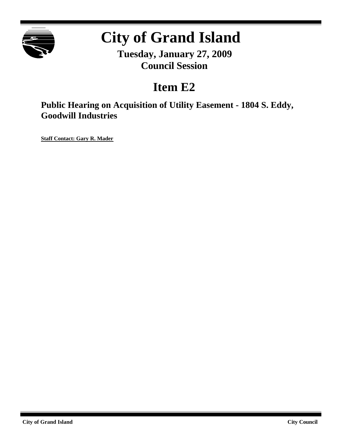

# **City of Grand Island**

**Tuesday, January 27, 2009 Council Session**

# **Item E2**

**Public Hearing on Acquisition of Utility Easement - 1804 S. Eddy, Goodwill Industries**

**Staff Contact: Gary R. Mader**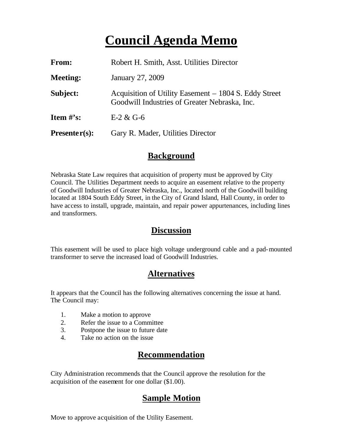# **Council Agenda Memo**

| From:           | Robert H. Smith, Asst. Utilities Director                                                              |
|-----------------|--------------------------------------------------------------------------------------------------------|
| <b>Meeting:</b> | January 27, 2009                                                                                       |
| Subject:        | Acquisition of Utility Easement – 1804 S. Eddy Street<br>Goodwill Industries of Greater Nebraska, Inc. |
| Item $#$ 's:    | $E-2 & G-6$                                                                                            |
| $Presenter(s):$ | Gary R. Mader, Utilities Director                                                                      |

#### **Background**

Nebraska State Law requires that acquisition of property must be approved by City Council. The Utilities Department needs to acquire an easement relative to the property of Goodwill Industries of Greater Nebraska, Inc., located north of the Goodwill building located at 1804 South Eddy Street, in the City of Grand Island, Hall County, in order to have access to install, upgrade, maintain, and repair power appurtenances, including lines and transformers.

#### **Discussion**

This easement will be used to place high voltage underground cable and a pad-mounted transformer to serve the increased load of Goodwill Industries.

## **Alternatives**

It appears that the Council has the following alternatives concerning the issue at hand. The Council may:

- 1. Make a motion to approve
- 2. Refer the issue to a Committee
- 3. Postpone the issue to future date
- 4. Take no action on the issue

## **Recommendation**

City Administration recommends that the Council approve the resolution for the acquisition of the easement for one dollar (\$1.00).

## **Sample Motion**

Move to approve acquisition of the Utility Easement.